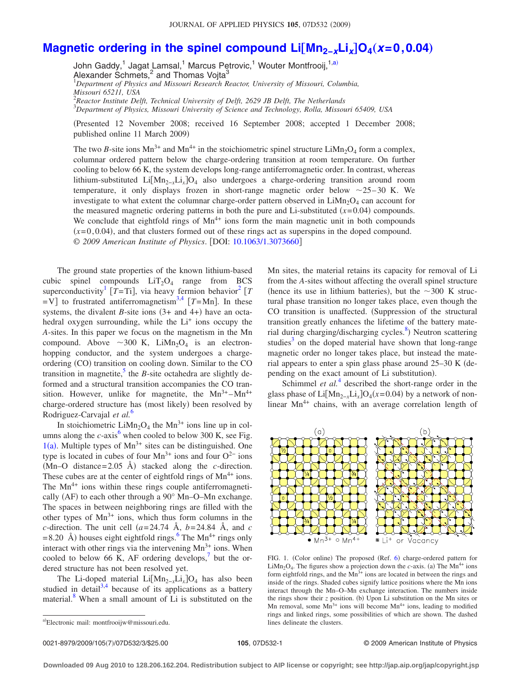## **[Magnetic ordering in the spinel compound Li](http://dx.doi.org/10.1063/1.3073660)[Mn<sub>2-x</sub>Li<sub>x</sub>]O<sub>4</sub>(x=0,0.04)**

John Gaddy,<sup>1</sup> Jagat Lamsal,<sup>1</sup> Marcus Petrovic,<sup>1</sup> Wouter Montfrooij,<sup>1[,a](#page-0-0))</sup> Alexander Schmets, $^2$  and Thomas Vojta $^3$ 1 *Department of Physics and Missouri Research Reactor, University of Missouri, Columbia, Missouri 65211, USA* 2 *Reactor Institute Delft, Technical University of Delft, 2629 JB Delft, The Netherlands* 3 *Department of Physics, Missouri University of Science and Technology, Rolla, Missouri 65409, USA*

Presented 12 November 2008; received 16 September 2008; accepted 1 December 2008; published online 11 March 2009)

The two *B*-site ions  $Mn^{3+}$  and  $Mn^{4+}$  in the stoichiometric spinel structure LiMn<sub>2</sub>O<sub>4</sub> form a complex, columnar ordered pattern below the charge-ordering transition at room temperature. On further cooling to below 66 K, the system develops long-range antiferromagnetic order. In contrast, whereas lithium-substituted LiMn2−*x*Li*x*O4 also undergoes a charge-ordering transition around room temperature, it only displays frozen in short-range magnetic order below  $\sim$ 25–30 K. We investigate to what extent the columnar charge-order pattern observed in  $LiMn<sub>2</sub>O<sub>4</sub>$  can account for the measured magnetic ordering patterns in both the pure and Li-substituted  $(x=0.04)$  compounds. We conclude that eightfold rings of  $Mn^{4+}$  ions form the main magnetic unit in both compounds  $(x=0,0.04)$ , and that clusters formed out of these rings act as superspins in the doped compound. © 2009 American Institute of Physics. [DOI: [10.1063/1.3073660](http://dx.doi.org/10.1063/1.3073660)]

The ground state properties of the known lithium-based cubic spinel compounds  $LiT<sub>2</sub>O<sub>4</sub>$  range from BCS superconductivity<sup>1</sup> [T=Ti], via heavy fermion behavior<sup>2</sup> [T  $=V$  to frustrated antiferromagnetism<sup>3,[4](#page-2-3)</sup>  $[T=Mn]$ . In these systems, the divalent *B*-site ions  $(3+$  and  $4+)$  have an octahedral oxygen surrounding, while the  $Li<sup>+</sup>$  ions occupy the *A*-sites. In this paper we focus on the magnetism in the Mn compound. Above  $\sim 300$  K, LiMn<sub>2</sub>O<sub>4</sub> is an electronhopping conductor, and the system undergoes a chargeordering (CO) transition on cooling down. Similar to the CO transition in magnetite, $\frac{5}{3}$  the *B*-site octahedra are slightly deformed and a structural transition accompanies the CO transition. However, unlike for magnetite, the  $Mn^{3+}-Mn^{4+}$ charge-ordered structure has (most likely) been resolved by Rodriguez-Carvajal *et al.*[6](#page-2-5)

In stoichiometric LiMn<sub>2</sub>O<sub>4</sub> the Mn<sup>3+</sup> ions line up in columns along the  $c$ -axis<sup>6</sup> when cooled to below 300 K, see Fig.  $1(a)$  $1(a)$ . Multiple types of Mn<sup>3+</sup> sites can be distinguished. One type is located in cubes of four Mn<sup>3+</sup> ions and four  $O^{2-}$  ions  $(Mn-O$  distance=2.05 Å) stacked along the *c*-direction. These cubes are at the center of eightfold rings of  $Mn^{4+}$  ions. The  $Mn^{4+}$  ions within these rings couple antiferromagnetically (AF) to each other through a 90° Mn-O-Mn exchange. The spaces in between neighboring rings are filled with the other types of  $Mn^{3+}$  ions, which thus form columns in the *c*-direction. The unit cell  $(a=24.74 \text{ Å}, b=24.84 \text{ Å}, \text{ and } c$  $= 8.20$  Å) houses eight eightfold rings.<sup>6</sup> The Mn<sup>4+</sup> rings only interact with other rings via the intervening  $Mn^{3+}$  ions. When cooled to below 66 K, AF ordering develops, $\frac{7}{1}$  but the ordered structure has not been resolved yet.

The Li-doped material Li[Mn<sub>2-*x*</sub>Li<sub>x</sub>]O<sub>4</sub> has also been studied in detail<sup>3[,4](#page-2-3)</sup> because of its applications as a battery material.<sup>8</sup> When a small amount of Li is substituted on the

<span id="page-0-0"></span>a)Electronic mail: montfrooijw@missouri.edu.

Mn sites, the material retains its capacity for removal of Li from the *A*-sites without affecting the overall spinel structure (hence its use in lithium batteries), but the  $\sim$ 300 K structural phase transition no longer takes place, even though the CO transition is unaffected. Suppression of the structural transition greatly enhances the lifetime of the battery material during charging/discharging cycles.<sup>8</sup>) Neutron scattering studies<sup>3</sup> on the doped material have shown that long-range magnetic order no longer takes place, but instead the material appears to enter a spin glass phase around 25–30 K depending on the exact amount of Li substitution).

Schimmel *et al.*<sup>[4](#page-2-3)</sup> described the short-range order in the glass phase of  $Li[Mn_{2-x}Li_x]O_4(x=0.04)$  by a network of nonlinear  $Mn^{4+}$  chains, with an average correlation length of

<span id="page-0-1"></span>

FIG. 1. (Color online) The proposed (Ref. [6](#page-2-5)) charge-ordered pattern for  $LiMn<sub>2</sub>O<sub>4</sub>$ . The figures show a projection down the *c*-axis. (a) The Mn<sup>4+</sup> ions form eightfold rings, and the  $Mn^{3+}$  ions are located in between the rings and inside of the rings. Shaded cubes signify lattice positions where the Mn ions interact through the Mn–O–Mn exchange interaction. The numbers inside the rings show their *z* position. (b) Upon Li substitution on the Mn sites or Mn removal, some  $Mn^{3+}$  ions will become  $Mn^{4+}$  ions, leading to modified rings and linked rings, some possibilities of which are shown. The dashed lines delineate the clusters.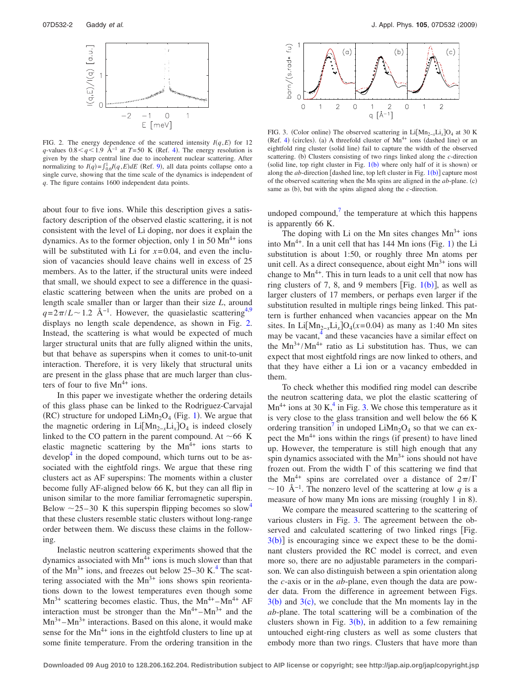<span id="page-1-0"></span>

FIG. 2. The energy dependence of the scattered intensity  $I(q, E)$  for 12 *q*-values  $0.8 < q < 1.9$  Å<sup>-1</sup> at *T*=50 K (Ref. [4](#page-2-3)). The energy resolution is given by the sharp central line due to incoherent nuclear scattering. After normalizing to  $I(q) = \int_{0.6}^{1} I(q, E) dE$  (Ref. [9](#page-2-8)), all data points collapse onto a single curve, showing that the time scale of the dynamics is independent of *q*. The figure contains 1600 independent data points.

about four to five ions. While this description gives a satisfactory description of the observed elastic scattering, it is not consistent with the level of Li doping, nor does it explain the dynamics. As to the former objection, only 1 in 50  $Mn^{4+}$  ions will be substituted with Li for  $x=0.04$ , and even the inclusion of vacancies should leave chains well in excess of 25 members. As to the latter, if the structural units were indeed that small, we should expect to see a difference in the quasielastic scattering between when the units are probed on a length scale smaller than or larger than their size *L*, around  $q=2\pi/L \sim 1.2$  Å<sup>-1</sup>. However, the quasielastic scattering<sup>4[,9](#page-2-8)</sup> displays no length scale dependence, as shown in Fig. [2.](#page-1-0) Instead, the scattering is what would be expected of much larger structural units that are fully aligned within the units, but that behave as superspins when it comes to unit-to-unit interaction. Therefore, it is very likely that structural units are present in the glass phase that are much larger than clusters of four to five  $Mn^{4+}$  ions.

In this paper we investigate whether the ordering details of this glass phase can be linked to the Rodriguez-Carvajal (RC) structure for undoped  $Lim_{2}O_{4}$  (Fig. [1](#page-0-1)). We argue that the magnetic ordering in Li $[Mn_{2-x}Li_x]O_4$  is indeed closely linked to the CO pattern in the parent compound. At  $\sim$  66 K elastic magnetic scattering by the  $Mn^{4+}$  ions starts to  $\alpha$  develop<sup>4</sup> in the doped compound, which turns out to be associated with the eightfold rings. We argue that these ring clusters act as AF superspins: The moments within a cluster become fully AF-aligned below 66 K, but they can all flip in unison similar to the more familiar ferromagnetic superspin. Below  $\sim$  25–30 K this superspin flipping becomes so slow<sup>4</sup> that these clusters resemble static clusters without long-range order between them. We discuss these claims in the following.

Inelastic neutron scattering experiments showed that the dynamics associated with  $Mn^{4+}$  ions is much slower than that of the  $Mn^{3+}$  ions, and freezes out below 25–30 K.<sup>4</sup> The scattering associated with the  $Mn^{3+}$  ions shows spin reorientations down to the lowest temperatures even though some  $Mn^{3+}$  scattering becomes elastic. Thus, the  $Mn^{4+} - Mn^{4+}$  AF interaction must be stronger than the  $Mn^{4+} - Mn^{3+}$  and the  $Mn^{3+}$ – $Mn^{3+}$  interactions. Based on this alone, it would make sense for the  $Mn^{4+}$  ions in the eightfold clusters to line up at some finite temperature. From the ordering transition in the

<span id="page-1-1"></span>

FIG. 3. (Color online) The observed scattering in Li[Mn<sub>2-*x*</sub>Li<sub>x</sub>]O<sub>4</sub> at 30 K (Ref. [4](#page-2-3)) (circles). (a) A threefold cluster of  $Mn^{4+}$  ions (dashed line) or an eightfold ring cluster (solid line) fail to capture the width of the observed scattering. (b) Clusters consisting of two rings linked along the *c*-direction (solid line, top right cluster in Fig.  $1(b)$  $1(b)$  where only half of it is shown) or along the *ab*-direction [dashed line, top left cluster in Fig.  $1(b)$  $1(b)$ ] capture most of the observed scattering when the Mn spins are aligned in the *ab*-plane. (c) same as (b), but with the spins aligned along the *c*-direction.

undoped compound, $\frac{7}{1}$  the temperature at which this happens is apparently 66 K.

The doping with Li on the Mn sites changes  $Mn^{3+}$  ions into  $Mn^{4+}$ . In a unit cell that has [1](#page-0-1)44 Mn ions (Fig. 1) the Li substitution is about 1:50, or roughly three Mn atoms per unit cell. As a direct consequence, about eight  $Mn^{3+}$  ions will change to  $Mn^{4+}$ . This in turn leads to a unit cell that now has ring clusters of 7, 8, and 9 members [Fig.  $1(b)$  $1(b)$ ], as well as larger clusters of 17 members, or perhaps even larger if the substitution resulted in multiple rings being linked. This pattern is further enhanced when vacancies appear on the Mn sites. In Li[Mn<sub>2-*x*</sub>Li<sub>x</sub>]O<sub>4</sub>( $x$ =0.04) as many as 1:40 Mn sites may be vacant,<sup>4</sup> and these vacancies have a similar effect on the  $Mn^{3+}/Mn^{4+}$  ratio as Li substitution has. Thus, we can expect that most eightfold rings are now linked to others, and that they have either a Li ion or a vacancy embedded in them.

To check whether this modified ring model can describe the neutron scattering data, we plot the elastic scattering of  $Mn^{4+}$  ions at 30 K,<sup>4</sup> in Fig. [3.](#page-1-1) We chose this temperature as it is very close to the glass transition and well below the 66 K ordering transition<sup> $\prime$ </sup> in undoped LiMn<sub>2</sub>O<sub>4</sub> so that we can expect the  $Mn^{4+}$  ions within the rings (if present) to have lined up. However, the temperature is still high enough that any spin dynamics associated with the  $Mn^{3+}$  ions should not have frozen out. From the width  $\Gamma$  of this scattering we find that the Mn<sup>4+</sup> spins are correlated over a distance of  $2\pi/\Gamma$  $\sim$  10 Å<sup>-1</sup>. The nonzero level of the scattering at low *q* is a measure of how many Mn ions are missing (roughly 1 in 8).

We compare the measured scattering to the scattering of various clusters in Fig. [3.](#page-1-1) The agreement between the observed and calculated scattering of two linked rings [Fig.  $3(b)$  $3(b)$  is encouraging since we expect these to be the dominant clusters provided the RC model is correct, and even more so, there are no adjustable parameters in the comparison. We can also distinguish between a spin orientation along the *c*-axis or in the *ab*-plane, even though the data are powder data. From the difference in agreement between Figs.  $3(b)$  $3(b)$  and  $3(c)$ , we conclude that the Mn moments lay in the *ab*-plane. The total scattering will be a combination of the clusters shown in Fig.  $3(b)$  $3(b)$ , in addition to a few remaining untouched eight-ring clusters as well as some clusters that embody more than two rings. Clusters that have more than